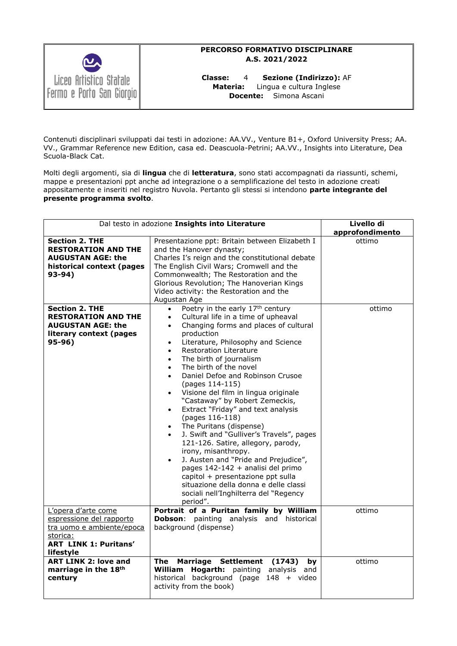

### **PERCORSO FORMATIVO DISCIPLINARE A.S. 2021/2022**

**Classe:** 4 **Sezione (Indirizzo):** AF **Materia:** Lingua e cultura Inglese **Docente:** Simona Ascani

Contenuti disciplinari sviluppati dai testi in adozione: AA.VV., Venture B1+, Oxford University Press; AA. VV., Grammar Reference new Edition, casa ed. Deascuola-Petrini; AA.VV., Insights into Literature, Dea Scuola-Black Cat.

Molti degli argomenti, sia di **lingua** che di **letteratura**, sono stati accompagnati da riassunti, schemi, mappe e presentazioni ppt anche ad integrazione o a semplificazione del testo in adozione creati appositamente e inseriti nel registro Nuvola. Pertanto gli stessi si intendono **parte integrante del presente programma svolto**.

| Dal testo in adozione Insights into Literature                                                                                        |                                                                                                                                                                                                                                                                                                                                                                                                                                                                                                                                                                                                                                                                                                                                                                                                                                                                                                                                                                                               | Livello di<br>approfondimento |
|---------------------------------------------------------------------------------------------------------------------------------------|-----------------------------------------------------------------------------------------------------------------------------------------------------------------------------------------------------------------------------------------------------------------------------------------------------------------------------------------------------------------------------------------------------------------------------------------------------------------------------------------------------------------------------------------------------------------------------------------------------------------------------------------------------------------------------------------------------------------------------------------------------------------------------------------------------------------------------------------------------------------------------------------------------------------------------------------------------------------------------------------------|-------------------------------|
| <b>Section 2. THE</b><br><b>RESTORATION AND THE</b><br><b>AUGUSTAN AGE: the</b><br>historical context (pages<br>93-94)                | Presentazione ppt: Britain between Elizabeth I<br>and the Hanover dynasty;<br>Charles I's reign and the constitutional debate<br>The English Civil Wars; Cromwell and the<br>Commonwealth; The Restoration and the<br>Glorious Revolution; The Hanoverian Kings<br>Video activity: the Restoration and the<br>Augustan Age                                                                                                                                                                                                                                                                                                                                                                                                                                                                                                                                                                                                                                                                    | ottimo                        |
| Section 2. THE<br><b>RESTORATION AND THE</b><br><b>AUGUSTAN AGE: the</b><br>literary context (pages<br>$95-96)$                       | Poetry in the early 17 <sup>th</sup> century<br>$\bullet$<br>Cultural life in a time of upheaval<br>$\bullet$<br>Changing forms and places of cultural<br>$\bullet$<br>production<br>Literature, Philosophy and Science<br>$\bullet$<br><b>Restoration Literature</b><br>$\bullet$<br>The birth of journalism<br>$\bullet$<br>The birth of the novel<br>$\bullet$<br>Daniel Defoe and Robinson Crusoe<br>$\bullet$<br>(pages 114-115)<br>Visione del film in lingua originale<br>$\bullet$<br>"Castaway" by Robert Zemeckis,<br>Extract "Friday" and text analysis<br>$\bullet$<br>(pages 116-118)<br>The Puritans (dispense)<br>$\bullet$<br>J. Swift and "Gulliver's Travels", pages<br>$\bullet$<br>121-126. Satire, allegory, parody,<br>irony, misanthropy.<br>J. Austen and "Pride and Prejudice",<br>$\bullet$<br>pages 142-142 + analisi del primo<br>capitol + presentazione ppt sulla<br>situazione della donna e delle classi<br>sociali nell'Inghilterra del "Regency<br>period". | ottimo                        |
| L'opera d'arte come<br>espressione del rapporto<br>tra uomo e ambiente/epoca<br>storica:<br><b>ART LINK 1: Puritans'</b><br>lifestyle | Portrait of a Puritan family by William<br>Dobson: painting analysis and historical<br>background (dispense)                                                                                                                                                                                                                                                                                                                                                                                                                                                                                                                                                                                                                                                                                                                                                                                                                                                                                  | ottimo                        |
| <b>ART LINK 2: love and</b><br>marriage in the 18th<br>century                                                                        | The Marriage Settlement (1743)<br>by<br>William<br>Hogarth: painting analysis and<br>historical background (page 148 + video<br>activity from the book)                                                                                                                                                                                                                                                                                                                                                                                                                                                                                                                                                                                                                                                                                                                                                                                                                                       | ottimo                        |